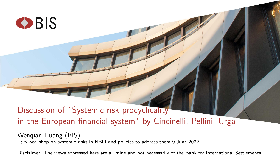

# Discussion of "Systemic risk procyclicality in the European financial system" by Cincinelli, Pellini, Urga

Wenqian Huang (BIS) FSB workshop on systemic risks in NBFI and policies to address them 9 June 2022

Disclaimer: The views expressed here are all mine and not necessarily of the Bank for International Settlements.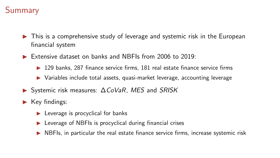## **Summary**

- ▶ This is a comprehensive study of leverage and systemic risk in the European financial system
- ▶ Extensive dataset on banks and NBFIs from 2006 to 2019:
	- $\triangleright$  129 banks, 287 finance service firms, 181 real estate finance service firms
	- ▶ Variables include total assets, quasi-market leverage, accounting leverage
- ▶ Systemic risk measures: ∆CoVaR, MES and SRISK
- $\blacktriangleright$  Key findings:
	- $\blacktriangleright$  Leverage is procyclical for banks
	- ▶ Leverage of NBFIs is procyclical during financial crises
	- $\triangleright$  NBFIs, in particular the real estate finance service firms, increase systemic risk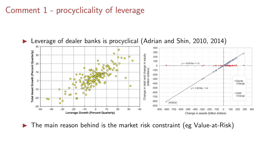### Comment 1 - procyclicality of leverage



The main reason behind is the market risk constraint (eg Value-at-Risk)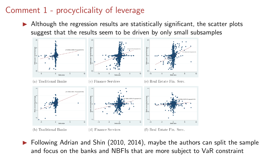## Comment 1 - procyclicality of leverage

Although the regression results are statistically significant, the scatter plots suggest that the results seem to be driven by only small subsamples



Following Adrian and Shin (2010, 2014), maybe the authors can split the sample and focus on the banks and NBFIs that are more subject to VaR constraint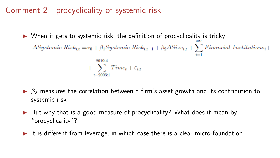## Comment 2 - procyclicality of systemic risk

- $\triangleright$  When it gets to systemic risk, the definition of procyclicality is tricky  $\Delta Systemic\ Risk_{i,t} = \alpha_0 + \beta_1 Systemic\ Risk_{i,t-1} + \beta_2 \Delta Size_{i,t} + \sum_{i=1}^{n} Financial\ Institute(1)_{i,t} + \sum_{i=1}^{n} {\cal F}^\text{in}(\Delta)_{i,t} + \sum_{i=1}^{n} {\cal F}^\text{in}(\Delta)_{i,t} + \sum_{i=1}^{n} {\cal F}^\text{in}(\Delta)_{i,t} + \sum_{i=1}^{n} {\cal F}^\text{in}(\Delta)_{i,t} + \sum_{i=1}^{n} {\cal F}^\text{in}(\Delta)_{i,t} + \sum_{i=1}^{n} {\cal F}^\text{in}(\Delta$ 2019:4  $+$   $\sum$  Time<sub>t</sub> +  $\varepsilon_{i,t}$
- $\triangleright$   $\beta_2$  measures the correlation between a firm's asset growth and its contribution to systemic risk
- But why that is a good measure of procyclicality? What does it mean by "procyclicality"?
- ▶ It is different from leverage, in which case there is a clear micro-foundation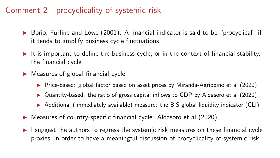## Comment 2 - procyclicality of systemic risk

- $\triangleright$  Borio, Furfine and Lowe (2001): A financial indicator is said to be "procyclical" if it tends to amplify business cycle fluctuations
- $\blacktriangleright$  It is important to define the business cycle, or in the context of financial stability, the financial cycle
- $\triangleright$  Measures of global financial cycle
	- ▶ Price-based: global factor based on asset prices by Miranda-Agrippino et al (2020)
	- ▶ Quantity-based: the ratio of gross capital inflows to GDP by Aldasoro et al (2020)
	- ▶ Additional (immediately available) measure: the BIS global liquidity indicator (GLI)
- Measures of country-specific financial cycle: Aldasoro et al (2020)
- I suggest the authors to regress the systemic risk measures on these financial cycle proxies, in order to have a meaningful discussion of procyclicality of systemic risk